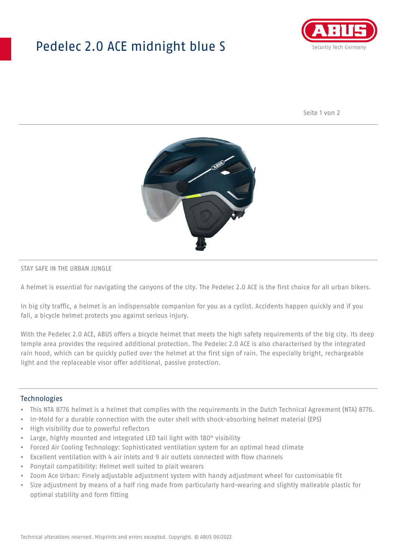## Pedelec 2.0 ACE midnight blue S



Seite 1 von 2



#### STAY SAFE IN THE URBAN JUNGLE

A helmet is essential for navigating the canyons of the city. The Pedelec 2.0 ACE is the first choice for all urban bikers.

In big city traffic, a helmet is an indispensable companion for you as a cyclist. Accidents happen quickly and if you fall, a bicycle helmet protects you against serious injury.

With the Pedelec 2.0 ACE, ABUS offers a bicycle helmet that meets the high safety requirements of the big city. Its deep temple area provides the required additional protection. The Pedelec 2.0 ACE is also characterised by the integrated rain hood, which can be quickly pulled over the helmet at the first sign of rain. The especially bright, rechargeable light and the replaceable visor offer additional, passive protection.

#### **Technologies**

- This NTA 8776 helmet is a helmet that complies with the requirements in the Dutch Technical Agreement (NTA) 8776.
- In-Mold for a durable connection with the outer shell with shock-absorbing helmet material (EPS)
- High visibility due to powerful reflectors
- Large, highly mounted and integrated LED tail light with 180° visibility
- Forced Air Cooling Technology: Sophisticated ventilation system for an optimal head climate
- Excellent ventilation with 4 air inlets and 9 air outlets connected with flow channels
- Ponytail compatibility: Helmet well suited to plait wearers
- Zoom Ace Urban: Finely adjustable adjustment system with handy adjustment wheel for customisable fit
- Size adjustment by means of a half ring made from particularly hard-wearing and slightly malleable plastic for optimal stability and form fitting